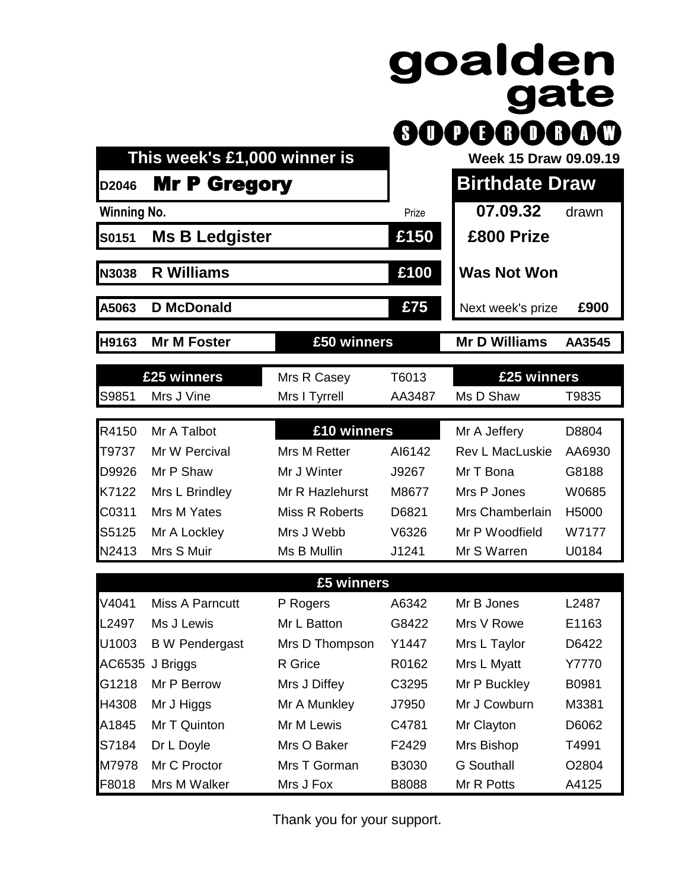|                    | This week's £1,000 winner is |                 | SIU    | goalden<br>gate<br>)OOOO<br>XR)<br>Week 15 Draw 09.09.19 |        |
|--------------------|------------------------------|-----------------|--------|----------------------------------------------------------|--------|
| D2046              | <b>Mr P Gregory</b>          |                 |        | <b>Birthdate Draw</b>                                    |        |
| <b>Winning No.</b> |                              |                 | Prize  | 07.09.32                                                 | drawn  |
| S0151              | <b>Ms B Ledgister</b>        |                 | £150   | £800 Prize                                               |        |
| N3038              | <b>R Williams</b>            |                 | £100   | <b>Was Not Won</b>                                       |        |
| A5063              | <b>D</b> McDonald            |                 | £75    | Next week's prize                                        | £900   |
| H9163              | <b>Mr M Foster</b>           | £50 winners     |        | <b>Mr D Williams</b>                                     | AA3545 |
|                    | £25 winners                  | Mrs R Casey     | T6013  | £25 winners                                              |        |
| S9851              | Mrs J Vine                   | Mrs I Tyrrell   | AA3487 | Ms D Shaw                                                | T9835  |
| R4150              | Mr A Talbot                  | £10 winners     |        | Mr A Jeffery                                             | D8804  |
| T9737              | Mr W Percival                | Mrs M Retter    | AI6142 | Rev L MacLuskie                                          | AA6930 |
| D9926              | Mr P Shaw                    | Mr J Winter     | J9267  | Mr T Bona                                                | G8188  |
| K7122              | Mrs L Brindley               | Mr R Hazlehurst | M8677  | Mrs P Jones                                              | W0685  |
| C0311              | Mrs M Yates                  | Miss R Roberts  | D6821  | Mrs Chamberlain                                          | H5000  |
| S5125              | Mr A Lockley                 | Mrs J Webb      | V6326  | Mr P Woodfield                                           | W7177  |
| N2413              | Mrs S Muir                   | Ms B Mullin     | J1241  | Mr S Warren                                              | U0184  |
|                    |                              | £5 winners      |        |                                                          |        |
| V4041              | <b>Miss A Parncutt</b>       | P Rogers        | A6342  | Mr B Jones                                               | L2487  |
| L2497              | Ms J Lewis                   | Mr L Batton     | G8422  | Mrs V Rowe                                               | E1163  |
| U1003              | <b>B</b> W Pendergast        | Mrs D Thompson  | Y1447  | Mrs L Taylor                                             | D6422  |
| AC6535             | J Briggs                     | R Grice         | R0162  | Mrs L Myatt                                              | Y7770  |
| G1218              | Mr P Berrow                  | Mrs J Diffey    | C3295  | Mr P Buckley                                             | B0981  |
| H4308              | Mr J Higgs                   | Mr A Munkley    | J7950  | Mr J Cowburn                                             | M3381  |
| A1845              | Mr T Quinton                 | Mr M Lewis      | C4781  | Mr Clayton                                               | D6062  |
| S7184              | Dr L Doyle                   | Mrs O Baker     | F2429  | Mrs Bishop                                               | T4991  |
| M7978              | Mr C Proctor                 | Mrs T Gorman    | B3030  | <b>G</b> Southall                                        | O2804  |

Thank you for your support.

F8018 Mrs M Walker Mrs J Fox B8088 Mr R Potts A4125